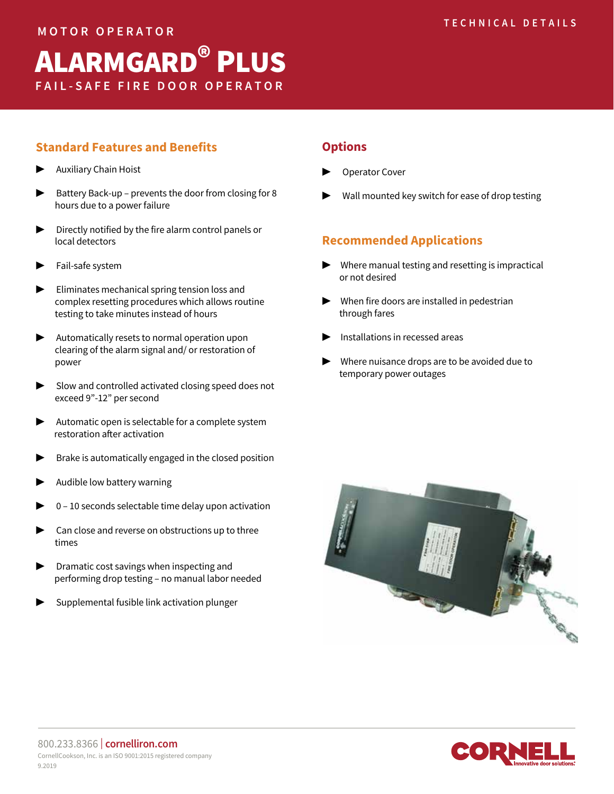# **FAIL-SAFE FIRE DOOR OPERATOR**  ALARMGARD® PLUS

## **Standard Features and Benefits**

- **Auxiliary Chain Hoist**
- ▶ Battery Back-up prevents the door from closing for 8 hours due to a power failure
- ▶ Directly notified by the fire alarm control panels or local detectors
- Fail-safe system
- Eliminates mechanical spring tension loss and complex resetting procedures which allows routine testing to take minutes instead of hours
- Automatically resets to normal operation upon clearing of the alarm signal and/ or restoration of power
- ▶ Slow and controlled activated closing speed does not exceed 9"-12" per second
- ▶ Automatic open is selectable for a complete system restoration after activation
- Brake is automatically engaged in the closed position
- Audible low battery warning
- 0 10 seconds selectable time delay upon activation
- Can close and reverse on obstructions up to three times
- ▶ Dramatic cost savings when inspecting and performing drop testing – no manual labor needed
- Supplemental fusible link activation plunger

#### **Options**

- **Operator Cover**
- Wall mounted key switch for ease of drop testing

## **Recommended Applications**

- Where manual testing and resetting is impractical or not desired
- $\blacktriangleright$  When fire doors are installed in pedestrian through fares
- ▶ Installations in recessed areas
- Where nuisance drops are to be avoided due to temporary power outages